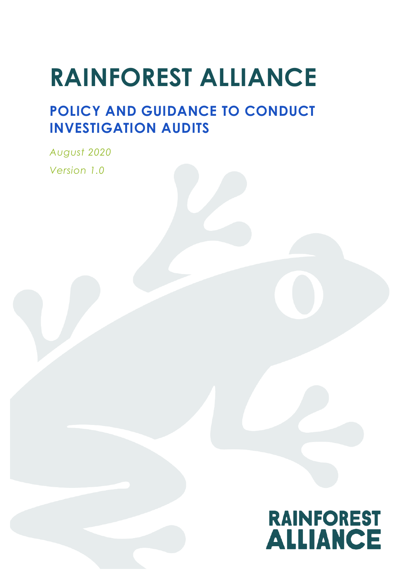# **RAINFOREST ALLIANCE**

## **POLICY AND GUIDANCE TO CONDUCT INVESTIGATION AUDITS**

*August 2020 Version 1.0*

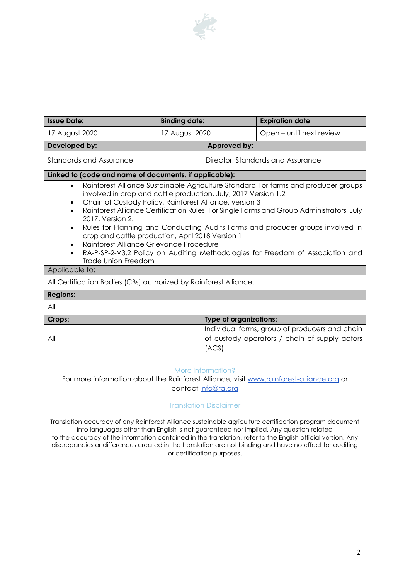

| <b>Issue Date:</b>                                                                                                                                                                                                                                                                                                                                                                                                                                                                                                                                                                                                                                                                                     | <b>Binding date:</b> |                                                         | <b>Expiration date</b>                         |  |
|--------------------------------------------------------------------------------------------------------------------------------------------------------------------------------------------------------------------------------------------------------------------------------------------------------------------------------------------------------------------------------------------------------------------------------------------------------------------------------------------------------------------------------------------------------------------------------------------------------------------------------------------------------------------------------------------------------|----------------------|---------------------------------------------------------|------------------------------------------------|--|
| 17 August 2020                                                                                                                                                                                                                                                                                                                                                                                                                                                                                                                                                                                                                                                                                         | 17 August 2020       |                                                         | Open – until next review                       |  |
| Developed by:                                                                                                                                                                                                                                                                                                                                                                                                                                                                                                                                                                                                                                                                                          |                      | Approved by:                                            |                                                |  |
| Standards and Assurance                                                                                                                                                                                                                                                                                                                                                                                                                                                                                                                                                                                                                                                                                |                      | Director, Standards and Assurance                       |                                                |  |
| Linked to (code and name of documents, if applicable):                                                                                                                                                                                                                                                                                                                                                                                                                                                                                                                                                                                                                                                 |                      |                                                         |                                                |  |
| Rainforest Alliance Sustainable Agriculture Standard For farms and producer groups<br>$\bullet$<br>involved in crop and cattle production, July, 2017 Version 1.2<br>Chain of Custody Policy, Rainforest Alliance, version 3<br>Rainforest Alliance Certification Rules, For Single Farms and Group Administrators, July<br>2017, Version 2.<br>Rules for Planning and Conducting Audits Farms and producer groups involved in<br>$\bullet$<br>crop and cattle production, April 2018 Version 1<br>Rainforest Alliance Grievance Procedure<br>$\bullet$<br>RA-P-SP-2-V3.2 Policy on Auditing Methodologies for Freedom of Association and<br>$\bullet$<br><b>Trade Union Freedom</b><br>Applicable to: |                      |                                                         |                                                |  |
| All Certification Bodies (CBs) authorized by Rainforest Alliance.                                                                                                                                                                                                                                                                                                                                                                                                                                                                                                                                                                                                                                      |                      |                                                         |                                                |  |
| <b>Regions:</b>                                                                                                                                                                                                                                                                                                                                                                                                                                                                                                                                                                                                                                                                                        |                      |                                                         |                                                |  |
| All                                                                                                                                                                                                                                                                                                                                                                                                                                                                                                                                                                                                                                                                                                    |                      |                                                         |                                                |  |
| <b>Type of organizations:</b><br>Crops:                                                                                                                                                                                                                                                                                                                                                                                                                                                                                                                                                                                                                                                                |                      |                                                         |                                                |  |
|                                                                                                                                                                                                                                                                                                                                                                                                                                                                                                                                                                                                                                                                                                        |                      |                                                         | Individual farms, group of producers and chain |  |
| All                                                                                                                                                                                                                                                                                                                                                                                                                                                                                                                                                                                                                                                                                                    |                      | of custody operators / chain of supply actors<br>(ACS). |                                                |  |

#### More information?

For more information about the Rainforest Alliance, visit www.rainforest-alliance.org or contact info@ra.org

#### Translation Disclaimer

Translation accuracy of any Rainforest Alliance sustainable agriculture certification program document into languages other than English is not guaranteed nor implied. Any question related to the accuracy of the information contained in the translation, refer to the English official version. Any discrepancies or differences created in the translation are not binding and have no effect for auditing or certification purposes.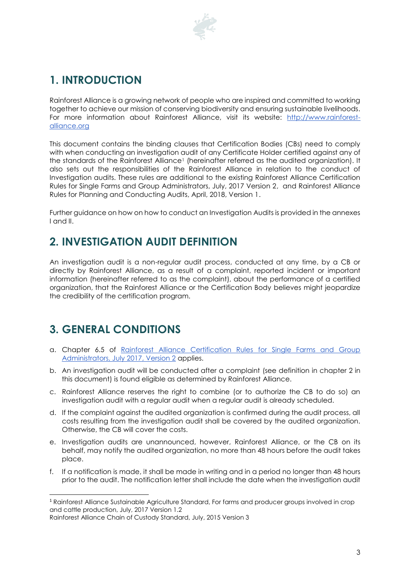

## **1. INTRODUCTION**

Rainforest Alliance is a growing network of people who are inspired and committed to working together to achieve our mission of conserving biodiversity and ensuring sustainable livelihoods. For more information about Rainforest Alliance, visit its website: [http://www.rainforest](http://www.rainforest-alliance.org/)[alliance.org](http://www.rainforest-alliance.org/) 

This document contains the binding clauses that Certification Bodies (CBs) need to comply with when conducting an investigation audit of any Certificate Holder certified against any of the standards of the Rainforest Alliance<sup>1</sup> (hereinafter referred as the audited organization). It also sets out the responsibilities of the Rainforest Alliance in relation to the conduct of Investigation audits. These rules are additional to the existing Rainforest Alliance Certification Rules for Single Farms and Group Administrators, July, 2017 Version 2, and [Rainforest Alliance](https://www.rainforest-alliance.org/business/resource-item/rules-planning-conducting-audits/)  [Rules for Planning and Conducting Audits, April, 2018, Version 1.](https://www.rainforest-alliance.org/business/resource-item/rules-planning-conducting-audits/)

Further guidance on how on how to conduct an Investigation Audits is provided in the annexes I and II.

## **2. INVESTIGATION AUDIT DEFINITION**

An investigation audit is a non-regular audit process, conducted at any time, by a CB or directly by Rainforest Alliance, as a result of a complaint, reported incident or important information (hereinafter referred to as the complaint), about the performance of a certified organization, that the Rainforest Alliance or the Certification Body believes might jeopardize the credibility of the certification program.

### **3. GENERAL CONDITIONS**

1

- a. Chapter 6.5 of [Rainforest Alliance Certification Rules for Single Farms and Group](https://www.rainforest-alliance.org/business/wp-content/uploads/2017/11/04_rainforest-alliance-certification-rules_en.pdf)  [Administrators, July 2017,](https://www.rainforest-alliance.org/business/wp-content/uploads/2017/11/04_rainforest-alliance-certification-rules_en.pdf) Version 2 applies.
- b. An investigation audit will be conducted after a complaint (see definition in chapter 2 in this document) is found eligible as determined by Rainforest Alliance.
- c. Rainforest Alliance reserves the right to combine (or to authorize the CB to do so) an investigation audit with a regular audit when a regular audit is already scheduled.
- d. If the complaint against the audited organization is confirmed during the audit process, all costs resulting from the investigation audit shall be covered by the audited organization. Otherwise, the CB will cover the costs.
- e. Investigation audits are unannounced, however, Rainforest Alliance, or the CB on its behalf, may notify the audited organization, no more than 48 hours before the audit takes place.
- f. If a notification is made, it shall be made in writing and in a period no longer than 48 hours prior to the audit. The notification letter shall include the date when the investigation audit

<sup>1</sup> Rainforest Alliance Sustainable Agriculture Standard, For farms and producer groups involved in crop and cattle production, July, 2017 Version 1.2

Rainforest Alliance Chain of Custody Standard, July, 2015 Version 3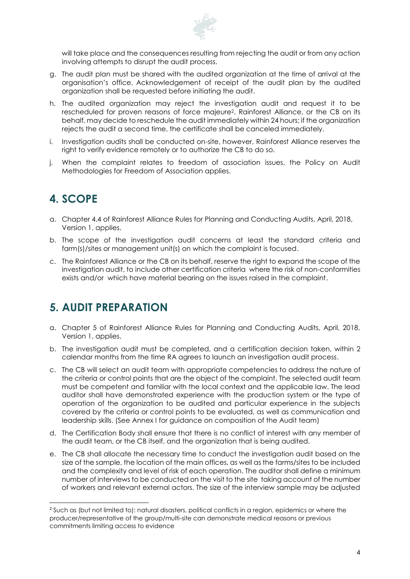

will take place and the consequences resulting from rejecting the audit or from any action involving attempts to disrupt the audit process.

- g. The audit plan must be shared with the audited organization at the time of arrival at the organisation's office. Acknowledgement of receipt of the audit plan by the audited organization shall be requested before initiating the audit.
- h. The audited organization may reject the investigation audit and request it to be rescheduled for proven reasons of force majeure2. Rainforest Alliance, or the CB on its behalf, may decide to reschedule the audit immediately within 24 hours; if the organization rejects the audit a second time, the certificate shall be canceled immediately.
- i. Investigation audits shall be conducted on-site, however, Rainforest Alliance reserves the right to verify evidence remotely or to authorize the CB to do so.
- j. When the complaint relates to freedom of association issues, the Policy on Audit Methodologies for Freedom of Association applies.

## **4. SCOPE**

 $\overline{a}$ 

- a. Chapter 4.4 of [Rainforest Alliance Rules for Planning and Conducting Audits, April, 2018,](https://www.rainforest-alliance.org/business/resource-item/rules-planning-conducting-audits/)  [Version 1,](https://www.rainforest-alliance.org/business/resource-item/rules-planning-conducting-audits/) applies.
- b. The scope of the investigation audit concerns at least the standard criteria and farm(s)/sites or management unit(s) on which the complaint is focused.
- c. The Rainforest Alliance or the CB on its behalf, reserve the right to expand the scope of the investigation audit, to include other certification criteria where the risk of non-conformities exists and/or which have material bearing on the issues raised in the complaint.

#### **5. AUDIT PREPARATION**

- a. Chapter 5 of [Rainforest Alliance Rules for Planning and Conducting Audits, April, 2018,](https://www.rainforest-alliance.org/business/resource-item/rules-planning-conducting-audits/)  [Version 1,](https://www.rainforest-alliance.org/business/resource-item/rules-planning-conducting-audits/) applies.
- b. The investigation audit must be completed, and a certification decision taken, within 2 calendar months from the time RA agrees to launch an investigation audit process.
- c. The CB will select an audit team with appropriate competencies to address the nature of the criteria or control points that are the object of the complaint. The selected audit team must be competent and familiar with the local context and the applicable law. The lead auditor shall have demonstrated experience with the production system or the type of operation of the organization to be audited and particular experience in the subjects covered by the criteria or control points to be evaluated, as well as communication and leadership skills. (See Annex I for guidance on composition of the Audit team)
- d. The Certification Body shall ensure that there is no conflict of interest with any member of the audit team, or the CB itself, and the organization that is being audited.
- e. The CB shall allocate the necessary time to conduct the investigation audit based on the size of the sample, the location of the main offices, as well as the farms/sites to be included and the complexity and level of risk of each operation. The auditor shall define a minimum number of interviews to be conducted on the visit to the site taking account of the number of workers and relevant external actors. The size of the interview sample may be adjusted

<sup>&</sup>lt;sup>2</sup> Such as (but not limited to): natural disasters, political conflicts in a region, epidemics or where the producer/representative of the group/multi-site can demonstrate medical reasons or previous commitments limiting access to evidence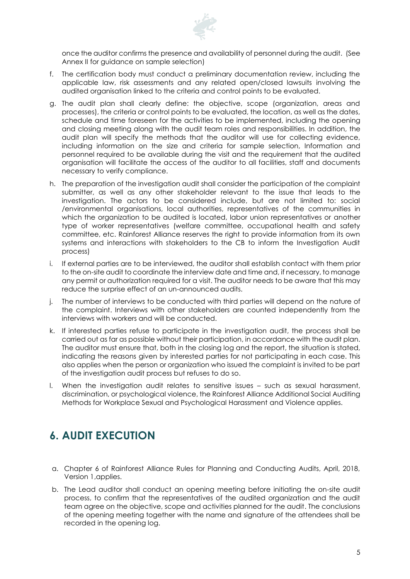

once the auditor confirms the presence and availability of personnel during the audit. (See Annex II for quidance on sample selection)

- f. The certification body must conduct a preliminary documentation review, including the applicable law, risk assessments and any related open/closed lawsuits involving the audited organisation linked to the criteria and control points to be evaluated.
- g. The audit plan shall clearly define: the objective, scope (organization, areas and processes), the criteria or control points to be evaluated, the location, as well as the dates, schedule and time foreseen for the activities to be implemented, including the opening and closing meeting along with the audit team roles and responsibilities. In addition, the audit plan will specify the methods that the auditor will use for collecting evidence, including information on the size and criteria for sample selection, Information and personnel required to be available during the visit and the requirement that the audited organisation will facilitate the access of the auditor to all facilities, staff and documents necessary to verify compliance.
- h. The preparation of the investigation audit shall consider the participation of the complaint submitter, as well as any other stakeholder relevant to the issue that leads to the investigation. The actors to be considered include, but are not limited to: social /environmental organisations, local authorities, representatives of the communities in which the organization to be audited is located, labor union representatives or another type of worker representatives (welfare committee, occupational health and safety committee, etc. Rainforest Alliance reserves the right to provide information from its own systems and interactions with stakeholders to the CB to inform the Investigation Audit process)
- i. If external parties are to be interviewed, the auditor shall establish contact with them prior to the on-site audit to coordinate the interview date and time and, if necessary, to manage any permit or authorization required for a visit. The auditor needs to be aware that this may reduce the surprise effect of an un-announced audits.
- j. The number of interviews to be conducted with third parties will depend on the nature of the complaint. Interviews with other stakeholders are counted independently from the interviews with workers and will be conducted.
- k. If interested parties refuse to participate in the investigation audit, the process shall be carried out as far as possible without their participation, in accordance with the audit plan. The auditor must ensure that, both in the closing log and the report, the situation is stated, indicating the reasons given by interested parties for not participating in each case. This also applies when the person or organization who issued the complaint is invited to be part of the investigation audit process but refuses to do so.
- l. When the investigation audit relates to sensitive issues such as sexual harassment, discrimination, or psychological violence, the Rainforest Alliance Additional Social Auditing Methods for Workplace Sexual and Psychological Harassment and Violence applies.

### **6. AUDIT EXECUTION**

- a. Chapter 6 of [Rainforest Alliance Rules for Planning and Conducting Audits, April, 2018,](https://www.rainforest-alliance.org/business/resource-item/rules-planning-conducting-audits/)  [Version 1,](https://www.rainforest-alliance.org/business/resource-item/rules-planning-conducting-audits/)applies.
- b. The Lead auditor shall conduct an opening meeting before initiating the on-site audit process, to confirm that the representatives of the audited organization and the audit team agree on the objective, scope and activities planned for the audit. The conclusions of the opening meeting together with the name and signature of the attendees shall be recorded in the opening log.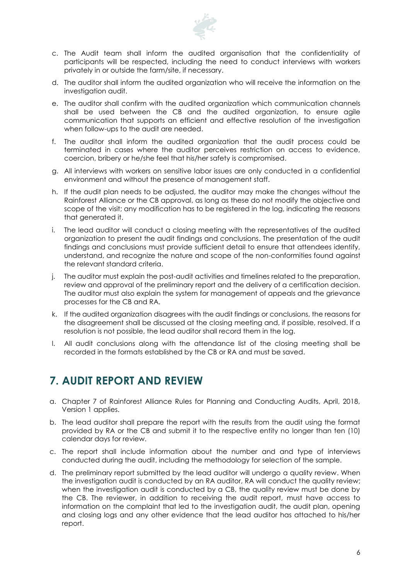

- c. The Audit team shall inform the audited organisation that the confidentiality of participants will be respected, including the need to conduct interviews with workers privately in or outside the farm/site, if necessary.
- d. The auditor shall inform the audited organization who will receive the information on the investigation audit.
- e. The auditor shall confirm with the audited organization which communication channels shall be used between the CB and the audited organization, to ensure agile communication that supports an efficient and effective resolution of the investigation when follow-ups to the audit are needed.
- f. The auditor shall inform the audited organization that the audit process could be terminated in cases where the auditor perceives restriction on access to evidence, coercion, bribery or he/she feel that his/her safety is compromised.
- g. All interviews with workers on sensitive labor issues are only conducted in a confidential environment and without the presence of management staff.
- h. If the audit plan needs to be adjusted, the auditor may make the changes without the Rainforest Alliance or the CB approval, as long as these do not modify the objective and scope of the visit; any modification has to be registered in the log, indicating the reasons that generated it.
- i. The lead auditor will conduct a closing meeting with the representatives of the audited organization to present the audit findings and conclusions. The presentation of the audit findings and conclusions must provide sufficient detail to ensure that attendees identify, understand, and recognize the nature and scope of the non-conformities found against the relevant standard criteria.
- j. The auditor must explain the post-audit activities and timelines related to the preparation, review and approval of the preliminary report and the delivery of a certification decision. The auditor must also explain the system for management of appeals and the grievance processes for the CB and RA.
- k. If the audited organization disagrees with the audit findings or conclusions, the reasons for the disagreement shall be discussed at the closing meeting and, if possible, resolved. If a resolution is not possible, the lead auditor shall record them in the log.
- l. All audit conclusions along with the attendance list of the closing meeting shall be recorded in the formats established by the CB or RA and must be saved.

#### **7. AUDIT REPORT AND REVIEW**

- a. Chapter 7 of [Rainforest Alliance Rules for Planning and Conducting Audits, April, 2018,](https://www.rainforest-alliance.org/business/resource-item/rules-planning-conducting-audits/)  [Version 1](https://www.rainforest-alliance.org/business/resource-item/rules-planning-conducting-audits/) applies.
- b. The lead auditor shall prepare the report with the results from the audit using the format provided by RA or the CB and submit it to the respective entity no longer than ten (10) calendar days for review.
- c. The report shall include information about the number and and type of interviews conducted during the audit, including the methodology for selection of the sample.
- d. The preliminary report submitted by the lead auditor will undergo a quality review. When the investigation audit is conducted by an RA auditor, RA will conduct the quality review; when the investigation audit is conducted by a CB, the quality review must be done by the CB. The reviewer, in addition to receiving the audit report, must have access to information on the complaint that led to the investigation audit, the audit plan, opening and closing logs and any other evidence that the lead auditor has attached to his/her report.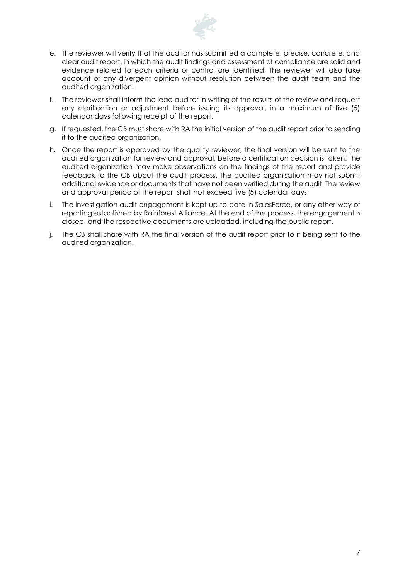

- e. The reviewer will verify that the auditor has submitted a complete, precise, concrete, and clear audit report, in which the audit findings and assessment of compliance are solid and evidence related to each criteria or control are identified. The reviewer will also take account of any divergent opinion without resolution between the audit team and the audited organization.
- f. The reviewer shall inform the lead auditor in writing of the results of the review and request any clarification or adjustment before issuing its approval, in a maximum of five (5) calendar days following receipt of the report.
- g. If requested, the CB must share with RA the initial version of the audit report prior to sending it to the audited organization.
- h. Once the report is approved by the quality reviewer, the final version will be sent to the audited organization for review and approval, before a certification decision is taken. The audited organization may make observations on the findings of the report and provide feedback to the CB about the audit process. The audited organisation may not submit additional evidence or documents that have not been verified during the audit. The review and approval period of the report shall not exceed five (5) calendar days.
- i. The investigation audit engagement is kept up-to-date in SalesForce, or any other way of reporting established by Rainforest Alliance. At the end of the process, the engagement is closed, and the respective documents are uploaded, including the public report.
- j. The CB shall share with RA the final version of the audit report prior to it being sent to the audited organization.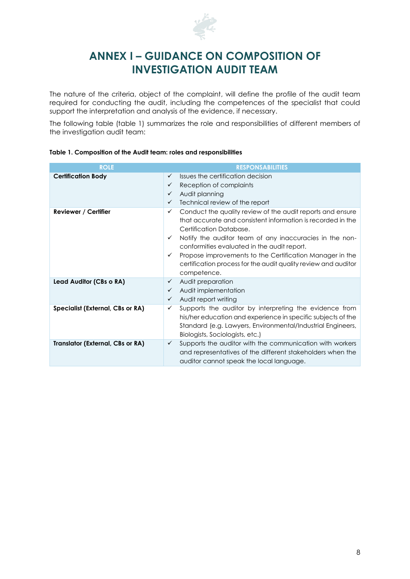

#### **ANNEX I – GUIDANCE ON COMPOSITION OF INVESTIGATION AUDIT TEAM**

The nature of the criteria, object of the complaint, will define the profile of the audit team required for conducting the audit, including the competences of the specialist that could support the interpretation and analysis of the evidence, if necessary.

The following table (table 1) summarizes the role and responsibilities of different members of the investigation audit team:

| <b>ROLE</b>                             | <b>RESPONSABILITIES</b>                                                                                                                                                                                                                                                                                                                                                                                                    |
|-----------------------------------------|----------------------------------------------------------------------------------------------------------------------------------------------------------------------------------------------------------------------------------------------------------------------------------------------------------------------------------------------------------------------------------------------------------------------------|
| <b>Certification Body</b>               | Issues the certification decision<br>$\checkmark$<br>Reception of complaints<br>✓<br>Audit planning<br>$\checkmark$<br>Technical review of the report<br>$\checkmark$                                                                                                                                                                                                                                                      |
| <b>Reviewer / Certifier</b>             | Conduct the quality review of the audit reports and ensure<br>✓<br>that accurate and consistent information is recorded in the<br>Certification Database.<br>Notify the auditor team of any inaccuracies in the non-<br>✓<br>conformities evaluated in the audit report.<br>Propose improvements to the Certification Manager in the<br>✓<br>certification process for the audit quality review and auditor<br>competence. |
| Lead Auditor (CBs o RA)                 | Audit preparation<br>✓<br>Audit implementation<br>$\checkmark$<br>Audit report writing<br>✓                                                                                                                                                                                                                                                                                                                                |
| Specialist (External, CBs or RA)        | Supports the auditor by interpreting the evidence from<br>✓<br>his/her education and experience in specific subjects of the<br>Standard (e.g. Lawyers, Environmental/Industrial Engineers,<br>Biologists, Sociologists, etc.)                                                                                                                                                                                              |
| <b>Translator (External, CBs or RA)</b> | Supports the auditor with the communication with workers<br>$\checkmark$<br>and representatives of the different stakeholders when the<br>auditor cannot speak the local language.                                                                                                                                                                                                                                         |

#### **Table 1. Composition of the Audit team: roles and responsibilities**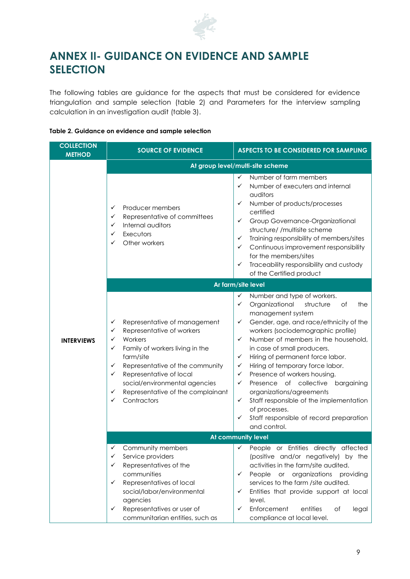

## **ANNEX II- GUIDANCE ON EVIDENCE AND SAMPLE SELECTION**

The following tables are guidance for the aspects that must be considered for evidence triangulation and sample selection (table 2) and Parameters for the interview sampling calculation in an investigation audit (table 3).

#### **Table 2. Guidance on evidence and sample selection**

| <b>COLLECTION</b><br><b>METHOD</b> | <b>ASPECTS TO BE CONSIDERED FOR SAMPLING</b><br><b>SOURCE OF EVIDENCE</b>                                                                                                                                                                                                                                                  |                                                                                                                                                                                                                                                                                                                                                                                                                                                                                                                                                                                                                    |  |  |  |
|------------------------------------|----------------------------------------------------------------------------------------------------------------------------------------------------------------------------------------------------------------------------------------------------------------------------------------------------------------------------|--------------------------------------------------------------------------------------------------------------------------------------------------------------------------------------------------------------------------------------------------------------------------------------------------------------------------------------------------------------------------------------------------------------------------------------------------------------------------------------------------------------------------------------------------------------------------------------------------------------------|--|--|--|
|                                    | At group level/multi-site scheme                                                                                                                                                                                                                                                                                           |                                                                                                                                                                                                                                                                                                                                                                                                                                                                                                                                                                                                                    |  |  |  |
|                                    | Producer members<br>✓<br>Representative of committees<br>✓<br>Internal auditors<br>✓<br>Executors<br>✓<br>Other workers<br>✓                                                                                                                                                                                               | Number of farm members<br>✓<br>Number of executers and internal<br>✓<br>auditors<br>$\checkmark$<br>Number of products/processes<br>certified<br>$\checkmark$<br>Group Governance-Organizational<br>structure/ /multisite scheme<br>Training responsibility of members/sites<br>$\checkmark$<br>Continuous improvement responsibility<br>✓<br>for the members/sites<br>Traceability responsibility and custody<br>✓<br>of the Certified product                                                                                                                                                                    |  |  |  |
|                                    | Ar farm/site level                                                                                                                                                                                                                                                                                                         |                                                                                                                                                                                                                                                                                                                                                                                                                                                                                                                                                                                                                    |  |  |  |
| <b>INTERVIEWS</b>                  | Representative of management<br>✓<br>Representative of workers<br>✓<br>Workers<br>✓<br>Family of workers living in the<br>✓<br>farm/site<br>Representative of the community<br>✓<br>Representative of local<br>✓<br>social/environmental agencies<br>Representative of the complainant<br>✓<br>Contractors<br>$\checkmark$ | Number and type of workers.<br>✓<br>Organizational<br>✓<br>structure<br>of<br>the<br>management system<br>Gender, age, and race/ethnicity of the<br>✓<br>workers (sociodemographic profile)<br>✓<br>Number of members in the household,<br>in case of small producers.<br>Hiring of permanent force labor.<br>$\checkmark$<br>Hiring of temporary force labor.<br>✓<br>✓<br>Presence of workers housing.<br>Presence of collective<br>bargaining<br>✓<br>organizations/agreements<br>Staff responsible of the implementation<br>✓<br>of processes.<br>Staff responsible of record preparation<br>✓<br>and control. |  |  |  |
|                                    | At community level                                                                                                                                                                                                                                                                                                         |                                                                                                                                                                                                                                                                                                                                                                                                                                                                                                                                                                                                                    |  |  |  |
|                                    | Community members<br>✓<br>Service providers<br>✓<br>Representatives of the<br>✓<br>communities<br>Representatives of local<br>✓<br>social/labor/environmental<br>agencies<br>Representatives or user of<br>✓<br>communitarian entities, such as                                                                            | People or Entities directly affected<br>✓<br>(positive and/or negatively) by the<br>activities in the farm/site audited.<br>People<br>or organizations providing<br>✓<br>services to the farm /site audited.<br>Entities that provide support at local<br>✓<br>level.<br>Enforcement<br>entities<br>✓<br>оf<br>legal<br>compliance at local level.                                                                                                                                                                                                                                                                 |  |  |  |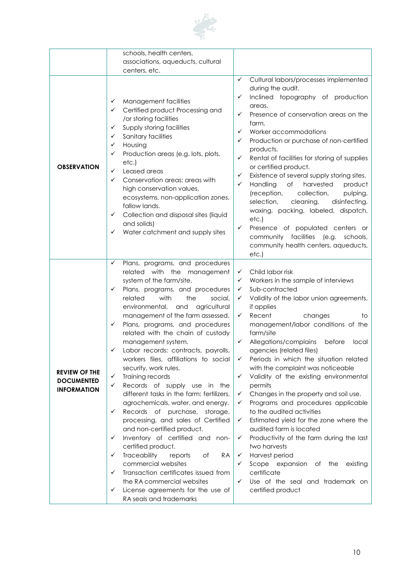

|                                                                 | schools, health centers,                                                                                                                                                                                                                                                                                                                                                                                                                                                                                                                                                                                                                                                                                                                                                                                                                                                                                                                                                                                              |                                                                                                                                                                                                                                                                                                                                                                                                                                                                                                                                                                                                                                                                                                                                                                                                                                                                                                               |
|-----------------------------------------------------------------|-----------------------------------------------------------------------------------------------------------------------------------------------------------------------------------------------------------------------------------------------------------------------------------------------------------------------------------------------------------------------------------------------------------------------------------------------------------------------------------------------------------------------------------------------------------------------------------------------------------------------------------------------------------------------------------------------------------------------------------------------------------------------------------------------------------------------------------------------------------------------------------------------------------------------------------------------------------------------------------------------------------------------|---------------------------------------------------------------------------------------------------------------------------------------------------------------------------------------------------------------------------------------------------------------------------------------------------------------------------------------------------------------------------------------------------------------------------------------------------------------------------------------------------------------------------------------------------------------------------------------------------------------------------------------------------------------------------------------------------------------------------------------------------------------------------------------------------------------------------------------------------------------------------------------------------------------|
|                                                                 | associations, aqueducts, cultural                                                                                                                                                                                                                                                                                                                                                                                                                                                                                                                                                                                                                                                                                                                                                                                                                                                                                                                                                                                     |                                                                                                                                                                                                                                                                                                                                                                                                                                                                                                                                                                                                                                                                                                                                                                                                                                                                                                               |
|                                                                 | centers, etc.                                                                                                                                                                                                                                                                                                                                                                                                                                                                                                                                                                                                                                                                                                                                                                                                                                                                                                                                                                                                         |                                                                                                                                                                                                                                                                                                                                                                                                                                                                                                                                                                                                                                                                                                                                                                                                                                                                                                               |
| <b>OBSERVATION</b>                                              | Management facilities<br>✓<br>Certified product Processing and<br>✓<br>/or storing facilities<br>Supply storing facilities<br>✓<br>Sanitary facilities<br>✓<br>Housing<br>✓<br>Production areas (e.g. lots, plots,<br>✓<br>etc.)<br>Leased areas<br>✓<br>Conservation areas: areas with<br>✓<br>high conservation values,<br>ecosystems, non-application zones,<br>fallow lands.<br>Collection and disposal sites (liquid<br>✓<br>and solids)<br>Water catchment and supply sites                                                                                                                                                                                                                                                                                                                                                                                                                                                                                                                                     | $\checkmark$<br>Cultural labors/processes implemented<br>during the audit.<br>✓<br>Inclined topography of production<br>areas.<br>✓<br>Presence of conservation areas on the<br>farm.<br>✓<br>Worker accommodations<br>Production or purchase of non-certified<br>✓<br>products.<br>✓<br>Rental of facilities for storing of supplies<br>or certified product.<br>✓<br>Existence of several supply storing sites.<br>✓<br>Handling<br>of<br>harvested<br>product<br>(reception,<br>collection,<br>pulping,<br>selection,<br>cleaning,<br>disinfecting,<br>waxing, packing, labeled, dispatch,<br>etc.)<br>$\checkmark$<br>Presence of populated centers or<br>community facilities (e.g. schools,<br>community health centers, aqueducts,<br>etc.)                                                                                                                                                            |
| <b>REVIEW OF THE</b><br><b>DOCUMENTED</b><br><b>INFORMATION</b> | Plans, programs, and procedures<br>✓<br>related with the management<br>system of the farm/site.<br>Plans, programs, and procedures<br>✓<br>related<br>with<br>the<br>social,<br>environmental,<br>and<br>agricultural<br>management of the farm assessed.<br>Plans, programs, and procedures<br>✓<br>related with the chain of custody<br>management system.<br>Labor records: contracts, payrolls,<br>✓<br>workers files, affiliations to social<br>security, work rules.<br>Training records<br>✓<br>✓<br>Records of supply use in the<br>different tasks in the farm: fertilizers,<br>agrochemicals, water, and energy.<br>Records of purchase, storage,<br>✓<br>processing, and sales of Certified<br>and non-certified product.<br>Inventory of certified and non-<br>✓<br>certified product.<br>Traceability<br>✓<br>RA<br>reports<br>оf<br>commercial websites<br>Transaction certificates issued from<br>✓<br>the RA commercial websites<br>License agreements for the use of<br>✓<br>RA seals and trademarks | Child labor risk<br>✓<br>Workers in the sample of interviews<br>✓<br>Sub-contracted<br>✓<br>Validity of the labor union agreements,<br>✓<br>if applies<br>✓<br>Recent<br>changes<br>to<br>management/labor conditions of the<br>farm/site<br>$\checkmark$<br>Allegations/complains<br>before<br>local<br>agencies (related files)<br>✓<br>Periods in which the situation related<br>with the complaint was noticeable<br>Validity of the existing environmental<br>$\checkmark$<br>permits<br>Changes in the property and soil use.<br>✓<br>Programs and procedures applicable<br>✓<br>to the audited activities<br>Estimated yield for the zone where the<br>✓<br>audited farm is located<br>Productivity of the farm during the last<br>✓<br>two harvests<br>Harvest period<br>✓<br>✓<br>Scope expansion of<br>the<br>existing<br>certificate<br>Use of the seal and trademark on<br>✓<br>certified product |